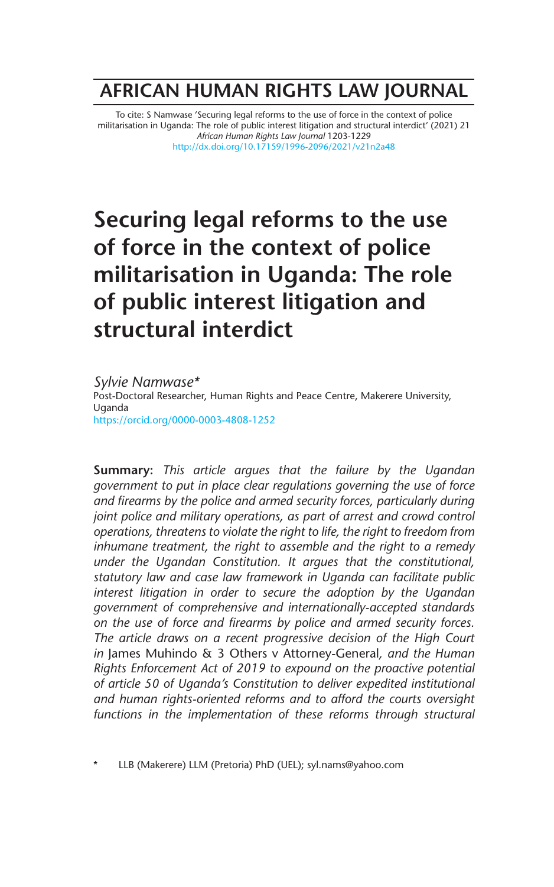## **AFRICAN HUMAN RIGHTS LAW JOURNAL**

To cite: S Namwase 'Securing legal reforms to the use of force in the context of police militarisation in Uganda: The role of public interest litigation and structural interdict' (2021) 21 *African Human Rights Law Journal* 1203-1229 http://dx.doi.org/10.17159/1996-2096/2021/v21n2a48

# **Securing legal reforms to the use of force in the context of police militarisation in Uganda: The role of public interest litigation and structural interdict**

*Sylvie Namwase\** Post-Doctoral Researcher, Human Rights and Peace Centre, Makerere University, Uganda https://orcid.org/0000-0003-4808-1252

**Summary:** *This article argues that the failure by the Ugandan government to put in place clear regulations governing the use of force and firearms by the police and armed security forces, particularly during joint police and military operations, as part of arrest and crowd control operations, threatens to violate the right to life, the right to freedom from inhumane treatment, the right to assemble and the right to a remedy under the Ugandan Constitution. It argues that the constitutional, statutory law and case law framework in Uganda can facilitate public interest litigation in order to secure the adoption by the Ugandan government of comprehensive and internationally-accepted standards on the use of force and firearms by police and armed security forces. The article draws on a recent progressive decision of the High Court in* James Muhindo & 3 Others v Attorney-General*, and the Human Rights Enforcement Act of 2019 to expound on the proactive potential of article 50 of Uganda's Constitution to deliver expedited institutional and human rights-oriented reforms and to afford the courts oversight functions in the implementation of these reforms through structural*

LLB (Makerere) LLM (Pretoria) PhD (UEL); syl.nams@yahoo.com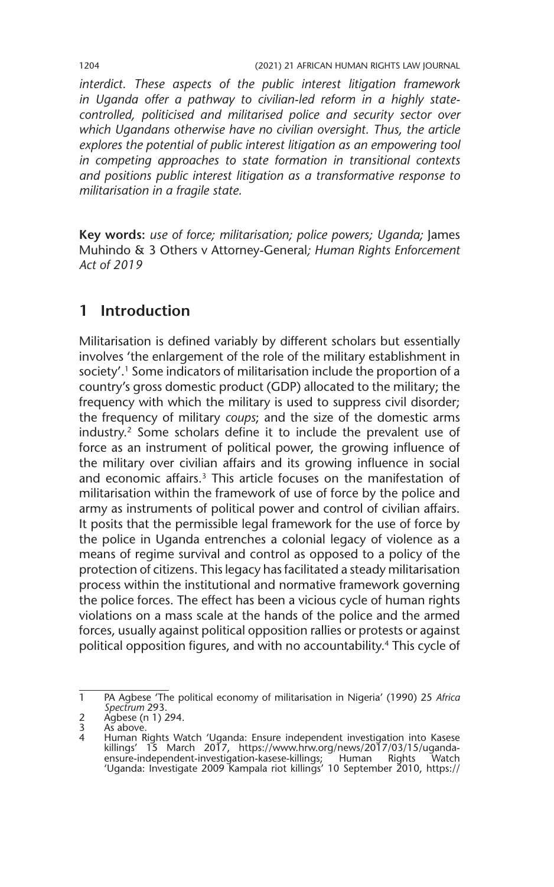*interdict. These aspects of the public interest litigation framework in Uganda offer a pathway to civilian-led reform in a highly statecontrolled, politicised and militarised police and security sector over which Ugandans otherwise have no civilian oversight. Thus, the article explores the potential of public interest litigation as an empowering tool in competing approaches to state formation in transitional contexts and positions public interest litigation as a transformative response to militarisation in a fragile state.* 

**Key words:** *use of force; militarisation; police powers; Uganda;* James Muhindo & 3 Others v Attorney-General*; Human Rights Enforcement Act of 2019*

### **1 Introduction**

Militarisation is defined variably by different scholars but essentially involves 'the enlargement of the role of the military establishment in society'.1 Some indicators of militarisation include the proportion of a country's gross domestic product (GDP) allocated to the military; the frequency with which the military is used to suppress civil disorder; the frequency of military *coups*; and the size of the domestic arms industry.2 Some scholars define it to include the prevalent use of force as an instrument of political power, the growing influence of the military over civilian affairs and its growing influence in social and economic affairs.<sup>3</sup> This article focuses on the manifestation of militarisation within the framework of use of force by the police and army as instruments of political power and control of civilian affairs. It posits that the permissible legal framework for the use of force by the police in Uganda entrenches a colonial legacy of violence as a means of regime survival and control as opposed to a policy of the protection of citizens. This legacy has facilitated a steady militarisation process within the institutional and normative framework governing the police forces. The effect has been a vicious cycle of human rights violations on a mass scale at the hands of the police and the armed forces, usually against political opposition rallies or protests or against political opposition figures, and with no accountability.4 This cycle of

<sup>1</sup> PA Agbese 'The political economy of militarisation in Nigeria' (1990) 25 *Africa Spectrum* 293.

<sup>2</sup> Agbese (n 1) 294.<br>3 As above.

 $\frac{3}{4}$  As above.

<sup>4</sup> Human Rights Watch 'Uganda: Ensure independent investigation into Kasese killings' 15 March 2017, https://www.hrw.org/news/2017/03/15/ugandaensure-independent-investigation-kasese-killings; Human Rights Watch 'Uganda: Investigate 2009 Kampala riot killings' 10 September 2010, https://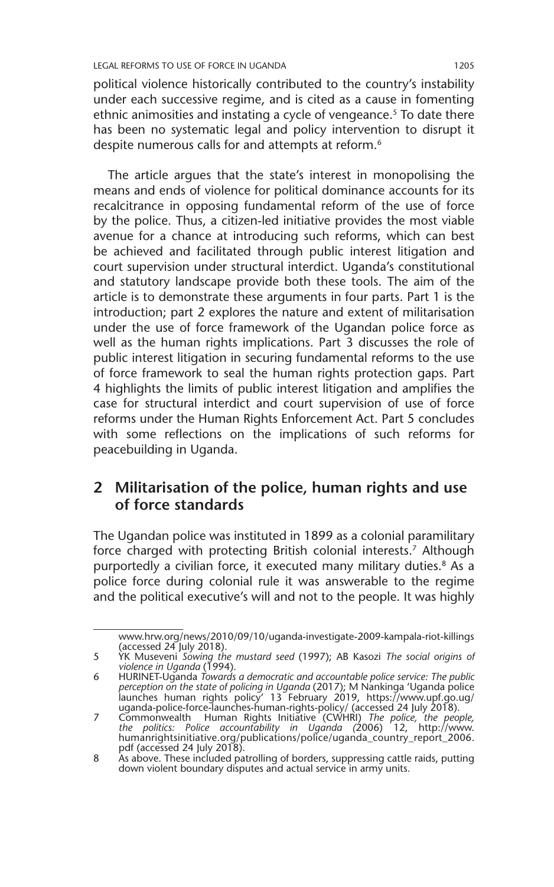political violence historically contributed to the country's instability under each successive regime, and is cited as a cause in fomenting ethnic animosities and instating a cycle of vengeance.<sup>5</sup> To date there has been no systematic legal and policy intervention to disrupt it despite numerous calls for and attempts at reform.<sup>6</sup>

The article argues that the state's interest in monopolising the means and ends of violence for political dominance accounts for its recalcitrance in opposing fundamental reform of the use of force by the police. Thus, a citizen-led initiative provides the most viable avenue for a chance at introducing such reforms, which can best be achieved and facilitated through public interest litigation and court supervision under structural interdict. Uganda's constitutional and statutory landscape provide both these tools. The aim of the article is to demonstrate these arguments in four parts. Part 1 is the introduction; part 2 explores the nature and extent of militarisation under the use of force framework of the Ugandan police force as well as the human rights implications. Part 3 discusses the role of public interest litigation in securing fundamental reforms to the use of force framework to seal the human rights protection gaps. Part 4 highlights the limits of public interest litigation and amplifies the case for structural interdict and court supervision of use of force reforms under the Human Rights Enforcement Act. Part 5 concludes with some reflections on the implications of such reforms for peacebuilding in Uganda.

### **2 Militarisation of the police, human rights and use of force standards**

The Ugandan police was instituted in 1899 as a colonial paramilitary force charged with protecting British colonial interests.<sup>7</sup> Although purportedly a civilian force, it executed many military duties.<sup>8</sup> As a police force during colonial rule it was answerable to the regime and the political executive's will and not to the people. It was highly

www.hrw.org/news/2010/09/10/uganda-investigate-2009-kampala-riot-killings (accessed 24 July 2018).

<sup>5</sup> YK Museveni *Sowing the mustard seed* (1997); AB Kasozi *The social origins of violence in Uganda* (1994)*.*

<sup>6</sup> HURINET-Uganda *Towards a democratic and accountable police service: The public perception on the state of policing in Uganda* (2017); M Nankinga 'Uganda police launches human rights policy' 13 February 2019, https://www.upf.go.ug/ uganda-police-force-launches-human-rights-policy/ (accessed 24 July 2018).

<sup>7</sup> Commonwealth Human Rights Initiative (CWHRI) The police, the people,<br>the politics: Police accountability in Uganda (2006) 12, http://www.<br>humanrightsinitiative.org/publications/police/uganda\_country\_report\_2006. pdf (accessed 24 July 2018).

<sup>8</sup> As above. These included patrolling of borders, suppressing cattle raids, putting down violent boundary disputes and actual service in army units.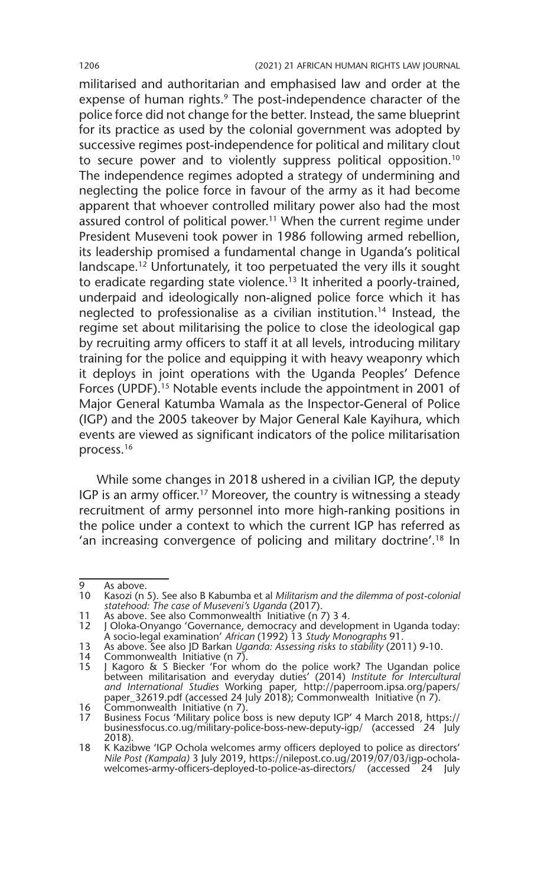militarised and authoritarian and emphasised law and order at the expense of human rights.<sup>9</sup> The post-independence character of the police force did not change for the better. Instead, the same blueprint for its practice as used by the colonial government was adopted by successive regimes post-independence for political and military clout to secure power and to violently suppress political opposition.<sup>10</sup> The independence regimes adopted a strategy of undermining and neglecting the police force in favour of the army as it had become apparent that whoever controlled military power also had the most assured control of political power.<sup>11</sup> When the current regime under President Museveni took power in 1986 following armed rebellion, its leadership promised a fundamental change in Uganda's political landscape.12 Unfortunately, it too perpetuated the very ills it sought to eradicate regarding state violence.<sup>13</sup> It inherited a poorly-trained, underpaid and ideologically non-aligned police force which it has neglected to professionalise as a civilian institution.14 Instead, the regime set about militarising the police to close the ideological gap by recruiting army officers to staff it at all levels, introducing military training for the police and equipping it with heavy weaponry which it deploys in joint operations with the Uganda Peoples' Defence Forces (UPDF).<sup>15</sup> Notable events include the appointment in 2001 of Major General Katumba Wamala as the Inspector-General of Police (IGP) and the 2005 takeover by Major General Kale Kayihura, which events are viewed as significant indicators of the police militarisation process.16

 While some changes in 2018 ushered in a civilian IGP, the deputy IGP is an army officer.17 Moreover, the country is witnessing a steady recruitment of army personnel into more high-ranking positions in the police under a context to which the current IGP has referred as 'an increasing convergence of policing and military doctrine'.18 In

13 As above. See also JD Barkan *Uganda: Assessing risks to stability* (2011) 9-10.

<sup>9</sup> As above.

<sup>10</sup> Kasozi (n 5). See also B Kabumba et al *Militarism and the dilemma of post-colonial statehood: The case of Museveni's Uganda* (2017).

<sup>11</sup> As above. See also Commonwealth Initiative (n 7) 3 4.<br>12 J Oloka-Onyango 'Governance, democracy and develo

<sup>12</sup> J Oloka-Onyango 'Governance, democracy and development in Uganda today: A socio-legal examination' *African* (1992) 13 *Study Monographs* 91.

<sup>14</sup> Commonwealth Initiative (n 7).

<sup>15</sup> J Kagoro & S Biecker 'For whom do the police work? The Ugandan police between militarisation and everyday duties' (2014) *Institute for Intercultural and International Studies* Working paper, http://paperroom.ipsa.org/papers/ paper\_32619.pdf (accessed 24 July 2018); Commonwealth Initiative (n 7).

<sup>16</sup> Commonwealth Initiative (n 7).<br>17 Business Focus 'Military police b

<sup>17</sup> Business Focus 'Military police boss is new deputy IGP' 4 March 2018, https:// businessfocus.co.ug/military-police-boss-new-deputy-igp/ (accessed 24 July 2018).

<sup>18</sup> K Kazibwe 'IGP Ochola welcomes army officers deployed to police as directors' *Nile Post (Kampala)* 3 July 2019, https://nilepost.co.ug/2019/07/03/igp-ocholawelcomes-army-officers-deployed-to-police-as-directors/ (accessed 24 July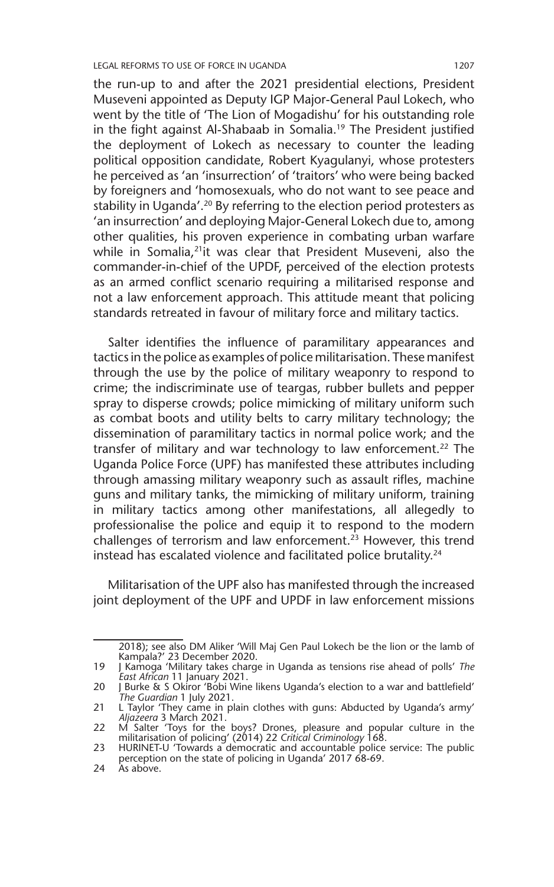LEGAL REFORMS TO USE OF FORCE IN UGANDA 1207

the run-up to and after the 2021 presidential elections, President Museveni appointed as Deputy IGP Major-General Paul Lokech, who went by the title of 'The Lion of Mogadishu' for his outstanding role in the fight against Al-Shabaab in Somalia.19 The President justified the deployment of Lokech as necessary to counter the leading political opposition candidate, Robert Kyagulanyi, whose protesters he perceived as 'an 'insurrection' of 'traitors' who were being backed by foreigners and 'homosexuals, who do not want to see peace and stability in Uganda'.20 By referring to the election period protesters as 'an insurrection' and deploying Major-General Lokech due to, among other qualities, his proven experience in combating urban warfare while in Somalia,<sup>21</sup>it was clear that President Museveni, also the commander-in-chief of the UPDF, perceived of the election protests as an armed conflict scenario requiring a militarised response and not a law enforcement approach. This attitude meant that policing standards retreated in favour of military force and military tactics.

Salter identifies the influence of paramilitary appearances and tactics in the police as examples of police militarisation. These manifest through the use by the police of military weaponry to respond to crime; the indiscriminate use of teargas, rubber bullets and pepper spray to disperse crowds; police mimicking of military uniform such as combat boots and utility belts to carry military technology; the dissemination of paramilitary tactics in normal police work; and the transfer of military and war technology to law enforcement.<sup>22</sup> The Uganda Police Force (UPF) has manifested these attributes including through amassing military weaponry such as assault rifles, machine guns and military tanks, the mimicking of military uniform, training in military tactics among other manifestations, all allegedly to professionalise the police and equip it to respond to the modern challenges of terrorism and law enforcement.23 However, this trend instead has escalated violence and facilitated police brutality.<sup>24</sup>

Militarisation of the UPF also has manifested through the increased joint deployment of the UPF and UPDF in law enforcement missions

<sup>2018);</sup> see also DM Aliker 'Will Maj Gen Paul Lokech be the lion or the lamb of Kampala?' 23 December 2020.

<sup>19</sup> J Kamoga 'Military takes charge in Uganda as tensions rise ahead of polls' *The East African* 11 January 2021.

<sup>20</sup> J Burke & S Okiror 'Bobi Wine likens Uganda's election to a war and battlefield' *The Guardian* 1 July 2021.

<sup>21</sup> L Taylor 'They came in plain clothes with guns: Abducted by Uganda's army'

*Aljazeera* 3 March 2021. 22 M Salter 'Toys for the boys? Drones, pleasure and popular culture in the militarisation of policing' (2014) 22 *Critical Criminology* 168.

<sup>23</sup> HURINET-U 'Towards a democratic and accountable police service: The public perception on the state of policing in Uganda' 2017 68-69.

<sup>24</sup> As above.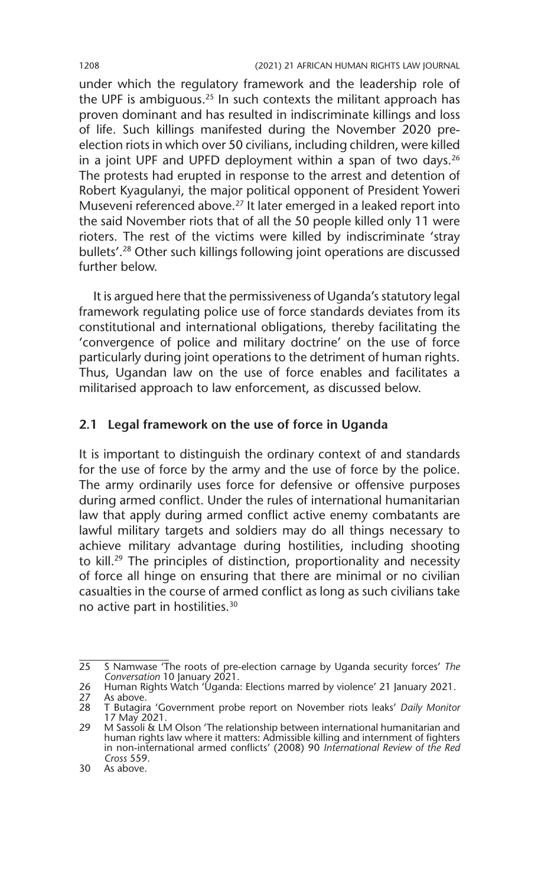under which the regulatory framework and the leadership role of the UPF is ambiguous.<sup>25</sup> In such contexts the militant approach has proven dominant and has resulted in indiscriminate killings and loss of life. Such killings manifested during the November 2020 preelection riots in which over 50 civilians, including children, were killed in a joint UPF and UPFD deployment within a span of two days. $26$ The protests had erupted in response to the arrest and detention of Robert Kyagulanyi, the major political opponent of President Yoweri Museveni referenced above.<sup>27</sup> It later emerged in a leaked report into the said November riots that of all the 50 people killed only 11 were rioters. The rest of the victims were killed by indiscriminate 'stray bullets'.28 Other such killings following joint operations are discussed further below.

It is argued here that the permissiveness of Uganda's statutory legal framework regulating police use of force standards deviates from its constitutional and international obligations, thereby facilitating the 'convergence of police and military doctrine' on the use of force particularly during joint operations to the detriment of human rights. Thus, Ugandan law on the use of force enables and facilitates a militarised approach to law enforcement, as discussed below.

### **2.1 Legal framework on the use of force in Uganda**

It is important to distinguish the ordinary context of and standards for the use of force by the army and the use of force by the police. The army ordinarily uses force for defensive or offensive purposes during armed conflict. Under the rules of international humanitarian law that apply during armed conflict active enemy combatants are lawful military targets and soldiers may do all things necessary to achieve military advantage during hostilities, including shooting to kill.29 The principles of distinction, proportionality and necessity of force all hinge on ensuring that there are minimal or no civilian casualties in the course of armed conflict as long as such civilians take no active part in hostilities.30

<sup>25</sup> S Namwase 'The roots of pre-election carnage by Uganda security forces' *The Conversation* 10 January 2021.

<sup>26</sup> Human Rights Watch 'Uganda: Elections marred by violence' 21 January 2021.<br>27 As above.

As above.

<sup>28</sup> T Butagira 'Government probe report on November riots leaks' *Daily Monitor* 17 May 2021.

<sup>29</sup> M Sassoli & LM Olson 'The relationship between international humanitarian and human rights law where it matters: Admissible killing and internment of fighters in non-international armed conflicts' (2008) 90 *International Review of the Red Cross* 559.

<sup>30</sup> As above.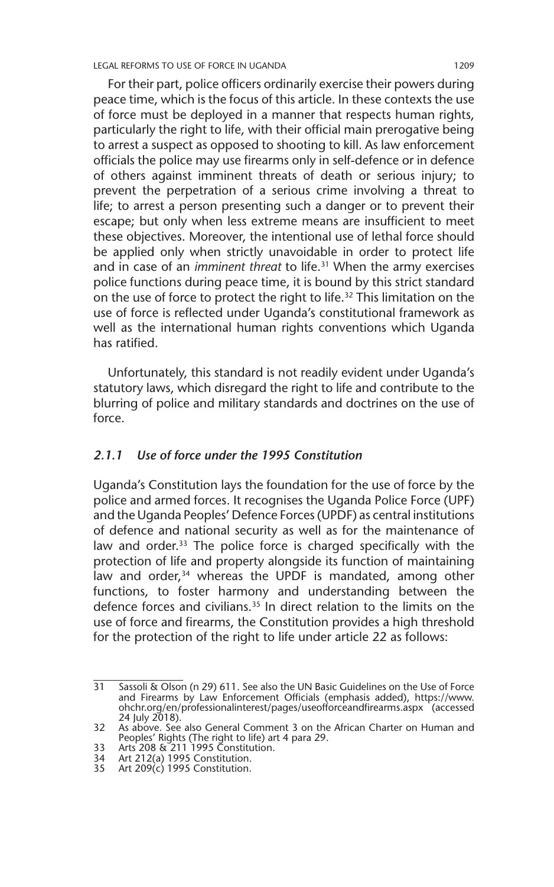For their part, police officers ordinarily exercise their powers during peace time, which is the focus of this article. In these contexts the use of force must be deployed in a manner that respects human rights, particularly the right to life, with their official main prerogative being to arrest a suspect as opposed to shooting to kill. As law enforcement officials the police may use firearms only in self-defence or in defence of others against imminent threats of death or serious injury; to prevent the perpetration of a serious crime involving a threat to life; to arrest a person presenting such a danger or to prevent their escape; but only when less extreme means are insufficient to meet these objectives. Moreover, the intentional use of lethal force should be applied only when strictly unavoidable in order to protect life and in case of an *imminent threat* to life.31 When the army exercises police functions during peace time, it is bound by this strict standard on the use of force to protect the right to life.<sup>32</sup> This limitation on the use of force is reflected under Uganda's constitutional framework as well as the international human rights conventions which Uganda has ratified.

Unfortunately, this standard is not readily evident under Uganda's statutory laws, which disregard the right to life and contribute to the blurring of police and military standards and doctrines on the use of force.

#### *2.1.1 Use of force under the 1995 Constitution*

Uganda's Constitution lays the foundation for the use of force by the police and armed forces. It recognises the Uganda Police Force (UPF) and the Uganda Peoples' Defence Forces (UPDF) as central institutions of defence and national security as well as for the maintenance of law and order.<sup>33</sup> The police force is charged specifically with the protection of life and property alongside its function of maintaining law and order,<sup>34</sup> whereas the UPDF is mandated, among other functions, to foster harmony and understanding between the defence forces and civilians.<sup>35</sup> In direct relation to the limits on the use of force and firearms, the Constitution provides a high threshold for the protection of the right to life under article 22 as follows:

<sup>31</sup> Sassoli & Olson (n 29) 611. See also the UN Basic Guidelines on the Use of Force and Firearms by Law Enforcement Officials (emphasis added), https://www. ohchr.org/en/professionalinterest/pages/useofforceandfirearms.aspx (accessed 24 July 2018).

<sup>32</sup> As above. See also General Comment 3 on the African Charter on Human and Peoples' Rights (The right to life) art 4 para 29.

<sup>33</sup> Arts 208 & 211 1995 Constitution.

<sup>34</sup> Art 212(a) 1995 Constitution.

<sup>35</sup> Art 209(c) 1995 Constitution.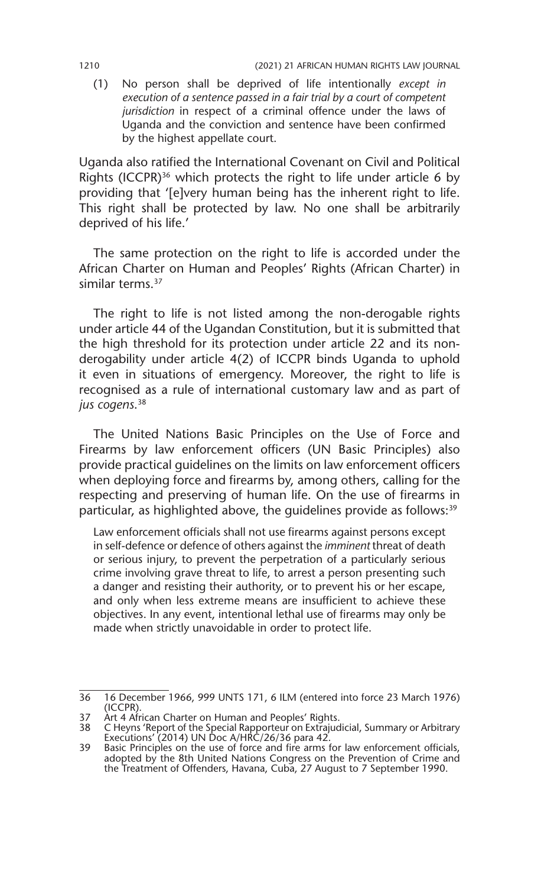(1) No person shall be deprived of life intentionally *except in execution of a sentence passed in a fair trial by a court of competent jurisdiction* in respect of a criminal offence under the laws of Uganda and the conviction and sentence have been confirmed by the highest appellate court.

Uganda also ratified the International Covenant on Civil and Political Rights (ICCPR) $36$  which protects the right to life under article 6 by providing that '[e]very human being has the inherent right to life. This right shall be protected by law. No one shall be arbitrarily deprived of his life.'

The same protection on the right to life is accorded under the African Charter on Human and Peoples' Rights (African Charter) in similar terms.<sup>37</sup>

The right to life is not listed among the non-derogable rights under article 44 of the Ugandan Constitution, but it is submitted that the high threshold for its protection under article 22 and its nonderogability under article 4(2) of ICCPR binds Uganda to uphold it even in situations of emergency. Moreover, the right to life is recognised as a rule of international customary law and as part of *jus cogens*. 38

The United Nations Basic Principles on the Use of Force and Firearms by law enforcement officers (UN Basic Principles) also provide practical guidelines on the limits on law enforcement officers when deploying force and firearms by, among others, calling for the respecting and preserving of human life. On the use of firearms in particular, as highlighted above, the quidelines provide as follows:<sup>39</sup>

Law enforcement officials shall not use firearms against persons except in self-defence or defence of others against the *imminent* threat of death or serious injury, to prevent the perpetration of a particularly serious crime involving grave threat to life, to arrest a person presenting such a danger and resisting their authority, or to prevent his or her escape, and only when less extreme means are insufficient to achieve these objectives. In any event, intentional lethal use of firearms may only be made when strictly unavoidable in order to protect life.

<sup>36</sup> 16 December 1966, 999 UNTS 171, 6 ILM (entered into force 23 March 1976) (ICCPR).

<sup>37</sup> Art 4 African Charter on Human and Peoples' Rights. 38 C Heyns 'Report of the Special Rapporteur on Extrajudicial, Summary or Arbitrary Executions' (2014) UN Doc A/HRC/26/36 para 42.

<sup>39</sup> Basic Principles on the use of force and fire arms for law enforcement officials, adopted by the 8th United Nations Congress on the Prevention of Crime and the Treatment of Offenders, Havana, Cuba, 27 August to 7 September 1990.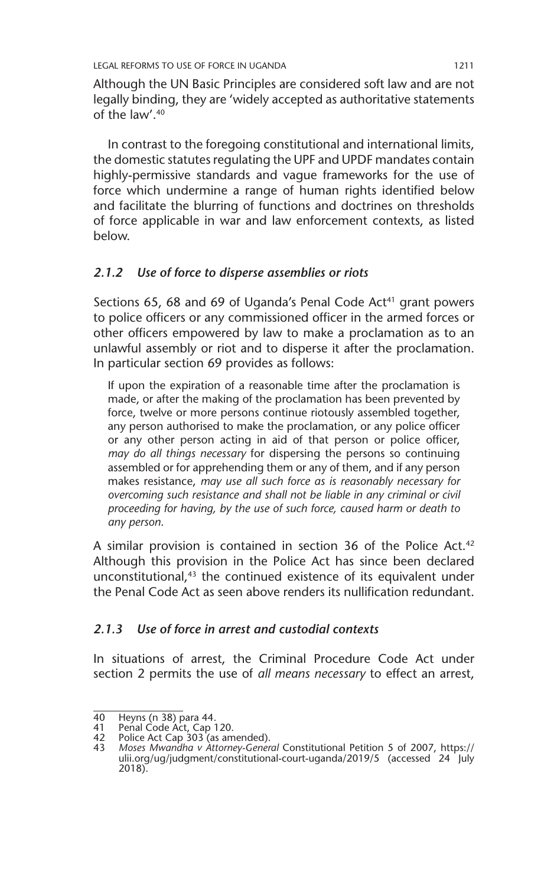Although the UN Basic Principles are considered soft law and are not legally binding, they are 'widely accepted as authoritative statements of the law'.40

In contrast to the foregoing constitutional and international limits, the domestic statutes regulating the UPF and UPDF mandates contain highly-permissive standards and vague frameworks for the use of force which undermine a range of human rights identified below and facilitate the blurring of functions and doctrines on thresholds of force applicable in war and law enforcement contexts, as listed below.

### *2.1.2 Use of force to disperse assemblies or riots*

Sections 65, 68 and 69 of Uganda's Penal Code Act<sup>41</sup> grant powers to police officers or any commissioned officer in the armed forces or other officers empowered by law to make a proclamation as to an unlawful assembly or riot and to disperse it after the proclamation. In particular section 69 provides as follows:

If upon the expiration of a reasonable time after the proclamation is made, or after the making of the proclamation has been prevented by force, twelve or more persons continue riotously assembled together, any person authorised to make the proclamation, or any police officer or any other person acting in aid of that person or police officer, *may do all things necessary* for dispersing the persons so continuing assembled or for apprehending them or any of them, and if any person makes resistance, *may use all such force as is reasonably necessary for overcoming such resistance and shall not be liable in any criminal or civil proceeding for having, by the use of such force, caused harm or death to any person*.

A similar provision is contained in section 36 of the Police Act.<sup>42</sup> Although this provision in the Police Act has since been declared unconstitutional,<sup>43</sup> the continued existence of its equivalent under the Penal Code Act as seen above renders its nullification redundant.

#### *2.1.3 Use of force in arrest and custodial contexts*

In situations of arrest, the Criminal Procedure Code Act under section 2 permits the use of *all means necessary* to effect an arrest,

<sup>40</sup> Heyns (n 38) para 44. 41 Penal Code Act, Cap 120. 42 Police Act Cap 303 (as amended).

<sup>43</sup> *Moses Mwandha v Attorney-General* Constitutional Petition 5 of 2007, https:// ulii.org/ug/judgment/constitutional-court-uganda/2019/5 (accessed 24 July 2018).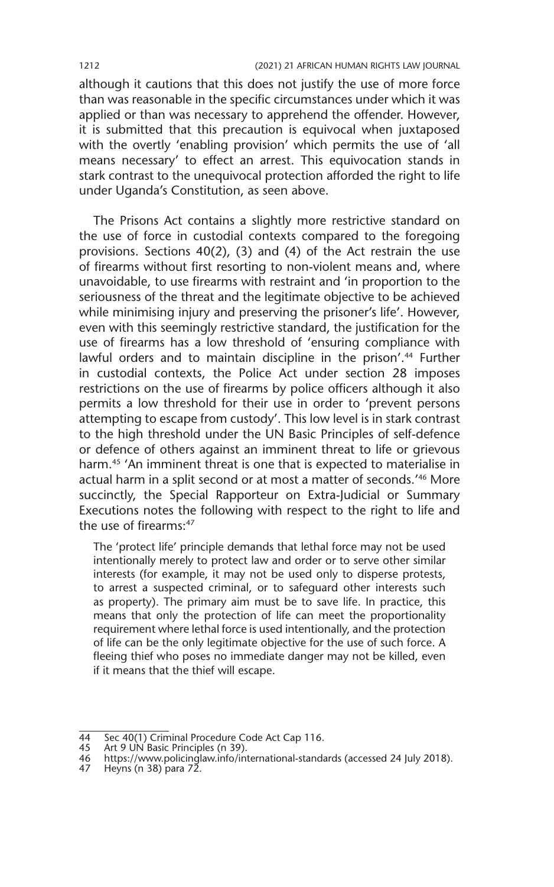although it cautions that this does not justify the use of more force than was reasonable in the specific circumstances under which it was applied or than was necessary to apprehend the offender. However, it is submitted that this precaution is equivocal when juxtaposed with the overtly 'enabling provision' which permits the use of 'all means necessary' to effect an arrest. This equivocation stands in stark contrast to the unequivocal protection afforded the right to life under Uganda's Constitution, as seen above.

The Prisons Act contains a slightly more restrictive standard on the use of force in custodial contexts compared to the foregoing provisions. Sections 40(2), (3) and (4) of the Act restrain the use of firearms without first resorting to non-violent means and, where unavoidable, to use firearms with restraint and 'in proportion to the seriousness of the threat and the legitimate objective to be achieved while minimising injury and preserving the prisoner's life'. However, even with this seemingly restrictive standard, the justification for the use of firearms has a low threshold of 'ensuring compliance with lawful orders and to maintain discipline in the prison'.<sup>44</sup> Further in custodial contexts, the Police Act under section 28 imposes restrictions on the use of firearms by police officers although it also permits a low threshold for their use in order to 'prevent persons attempting to escape from custody'. This low level is in stark contrast to the high threshold under the UN Basic Principles of self-defence or defence of others against an imminent threat to life or grievous harm.<sup>45</sup> 'An imminent threat is one that is expected to materialise in actual harm in a split second or at most a matter of seconds.'46 More succinctly, the Special Rapporteur on Extra-Judicial or Summary Executions notes the following with respect to the right to life and the use of firearms:47

The 'protect life' principle demands that lethal force may not be used intentionally merely to protect law and order or to serve other similar interests (for example, it may not be used only to disperse protests, to arrest a suspected criminal, or to safeguard other interests such as property). The primary aim must be to save life. In practice, this means that only the protection of life can meet the proportionality requirement where lethal force is used intentionally, and the protection of life can be the only legitimate objective for the use of such force. A fleeing thief who poses no immediate danger may not be killed, even if it means that the thief will escape.

47 Heyns (n 38) para 72.

<sup>44</sup> Sec 40(1) Criminal Procedure Code Act Cap 116.

<sup>45</sup> Art 9 UN Basic Principles (n 39).

<sup>46</sup> https://www.policinglaw.info/international-standards (accessed 24 July 2018).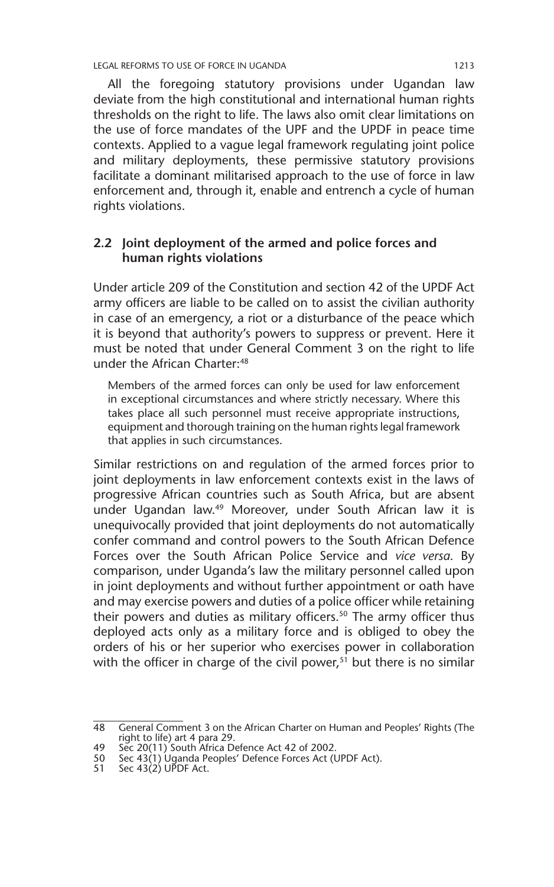LEGAL REFORMS TO USE OF FORCE IN UGANDA 1213

All the foregoing statutory provisions under Ugandan law deviate from the high constitutional and international human rights thresholds on the right to life. The laws also omit clear limitations on the use of force mandates of the UPF and the UPDF in peace time contexts. Applied to a vague legal framework regulating joint police and military deployments, these permissive statutory provisions facilitate a dominant militarised approach to the use of force in law enforcement and, through it, enable and entrench a cycle of human rights violations.

### **2.2 Joint deployment of the armed and police forces and human rights violations**

Under article 209 of the Constitution and section 42 of the UPDF Act army officers are liable to be called on to assist the civilian authority in case of an emergency, a riot or a disturbance of the peace which it is beyond that authority's powers to suppress or prevent. Here it must be noted that under General Comment 3 on the right to life under the African Charter:<sup>48</sup>

Members of the armed forces can only be used for law enforcement in exceptional circumstances and where strictly necessary. Where this takes place all such personnel must receive appropriate instructions, equipment and thorough training on the human rights legal framework that applies in such circumstances.

Similar restrictions on and regulation of the armed forces prior to joint deployments in law enforcement contexts exist in the laws of progressive African countries such as South Africa, but are absent under Ugandan law.49 Moreover, under South African law it is unequivocally provided that joint deployments do not automatically confer command and control powers to the South African Defence Forces over the South African Police Service and *vice versa*. By comparison, under Uganda's law the military personnel called upon in joint deployments and without further appointment or oath have and may exercise powers and duties of a police officer while retaining their powers and duties as military officers.<sup>50</sup> The army officer thus deployed acts only as a military force and is obliged to obey the orders of his or her superior who exercises power in collaboration with the officer in charge of the civil power,<sup>51</sup> but there is no similar

<sup>48</sup> General Comment 3 on the African Charter on Human and Peoples' Rights (The right to life) art 4 para 29.

<sup>49</sup> Sec 20(11) South Africa Defence Act 42 of 2002.

<sup>50</sup> Sec 43(1) Uganda Peoples' Defence Forces Act (UPDF Act).

<sup>51</sup> Sec  $43(2)$  UPDF Act.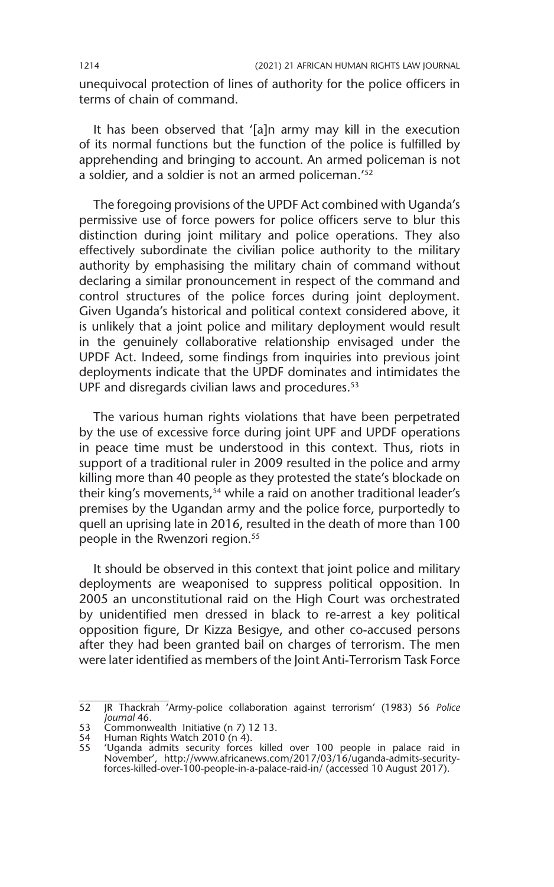unequivocal protection of lines of authority for the police officers in terms of chain of command.

It has been observed that '[a]n army may kill in the execution of its normal functions but the function of the police is fulfilled by apprehending and bringing to account. An armed policeman is not a soldier, and a soldier is not an armed policeman.'52

The foregoing provisions of the UPDF Act combined with Uganda's permissive use of force powers for police officers serve to blur this distinction during joint military and police operations. They also effectively subordinate the civilian police authority to the military authority by emphasising the military chain of command without declaring a similar pronouncement in respect of the command and control structures of the police forces during joint deployment. Given Uganda's historical and political context considered above, it is unlikely that a joint police and military deployment would result in the genuinely collaborative relationship envisaged under the UPDF Act. Indeed, some findings from inquiries into previous joint deployments indicate that the UPDF dominates and intimidates the UPF and disregards civilian laws and procedures.<sup>53</sup>

The various human rights violations that have been perpetrated by the use of excessive force during joint UPF and UPDF operations in peace time must be understood in this context. Thus, riots in support of a traditional ruler in 2009 resulted in the police and army killing more than 40 people as they protested the state's blockade on their king's movements,<sup>54</sup> while a raid on another traditional leader's premises by the Ugandan army and the police force, purportedly to quell an uprising late in 2016, resulted in the death of more than 100 people in the Rwenzori region.<sup>55</sup>

It should be observed in this context that joint police and military deployments are weaponised to suppress political opposition. In 2005 an unconstitutional raid on the High Court was orchestrated by unidentified men dressed in black to re-arrest a key political opposition figure, Dr Kizza Besigye, and other co-accused persons after they had been granted bail on charges of terrorism. The men were later identified as members of the Joint Anti-Terrorism Task Force

<sup>52</sup> JR Thackrah 'Army-police collaboration against terrorism' (1983) 56 *Police Journal* 46.

<sup>53</sup> Commonwealth Initiative (n 7) 12 13.<br>54 Human Rights Watch 2010 (n 4).

<sup>54</sup> Human Rights Watch 2010 (n 4).<br>55 Yuganda admits security forces

<sup>55</sup> 'Uganda admits security forces killed over 100 people in palace raid in November', http://www.africanews.com/2017/03/16/uganda-admits-securityforces-killed-over-100-people-in-a-palace-raid-in/ (accessed 10 August 2017).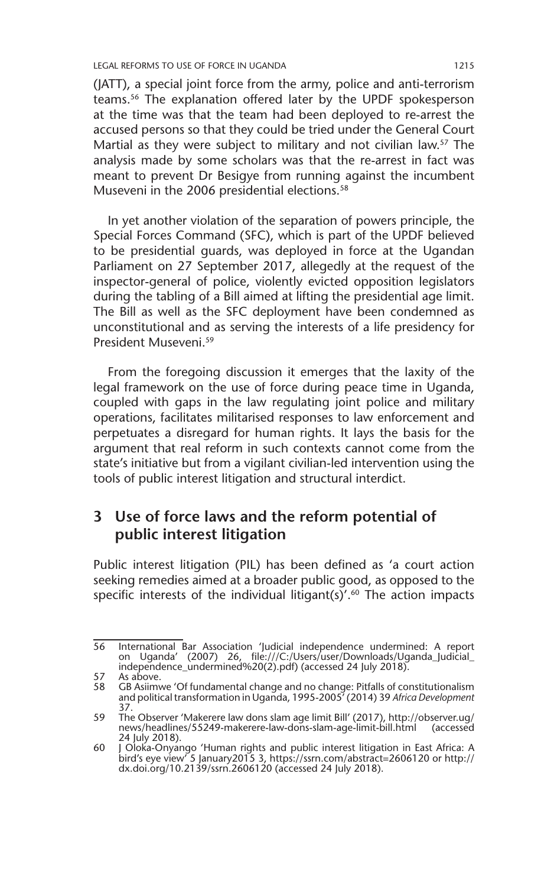LEGAL REFORMS TO USE OF FORCE IN UGANDA 1215

(JATT), a special joint force from the army, police and anti-terrorism teams.56 The explanation offered later by the UPDF spokesperson at the time was that the team had been deployed to re-arrest the accused persons so that they could be tried under the General Court Martial as they were subject to military and not civilian law.<sup>57</sup> The analysis made by some scholars was that the re-arrest in fact was meant to prevent Dr Besigye from running against the incumbent Museveni in the 2006 presidential elections.<sup>58</sup>

In yet another violation of the separation of powers principle, the Special Forces Command (SFC), which is part of the UPDF believed to be presidential guards, was deployed in force at the Ugandan Parliament on 27 September 2017, allegedly at the request of the inspector-general of police, violently evicted opposition legislators during the tabling of a Bill aimed at lifting the presidential age limit. The Bill as well as the SFC deployment have been condemned as unconstitutional and as serving the interests of a life presidency for President Museveni.59

From the foregoing discussion it emerges that the laxity of the legal framework on the use of force during peace time in Uganda, coupled with gaps in the law regulating joint police and military operations, facilitates militarised responses to law enforcement and perpetuates a disregard for human rights. It lays the basis for the argument that real reform in such contexts cannot come from the state's initiative but from a vigilant civilian-led intervention using the tools of public interest litigation and structural interdict.

### **3 Use of force laws and the reform potential of public interest litigation**

Public interest litigation (PIL) has been defined as 'a court action seeking remedies aimed at a broader public good, as opposed to the specific interests of the individual litigant(s)'. $60$  The action impacts

<sup>56</sup> International Bar Association 'Judicial independence undermined: A report on Uganda' (2007) 26, file:///C:/Users/user/Downloads/Uganda\_Judicial\_ independence\_undermined%20(2).pdf) (accessed 24 July 2018).

<sup>57</sup> As above.<br>58 GB Asiimy

<sup>58</sup> GB Asiimwe 'Of fundamental change and no change: Pitfalls of constitutionalism and political transformation in Uganda, 1995-2005' (2014) 39 *Africa Development*  37.

<sup>59</sup> The Observer 'Makerere law dons slam age limit Bill' (2017), http://observer.ug/ news/headlines/55249-makerere-law-dons-slam-age-limit-bill.html (accessed 24 July 2018).

<sup>60</sup> J Oloka-Onyango 'Human rights and public interest litigation in East Africa: A bird's eye view' 5 January2015 3, https://ssrn.com/abstract=2606120 or http:// dx.doi.org/10.2139/ssrn.2606120 (accessed 24 July 2018).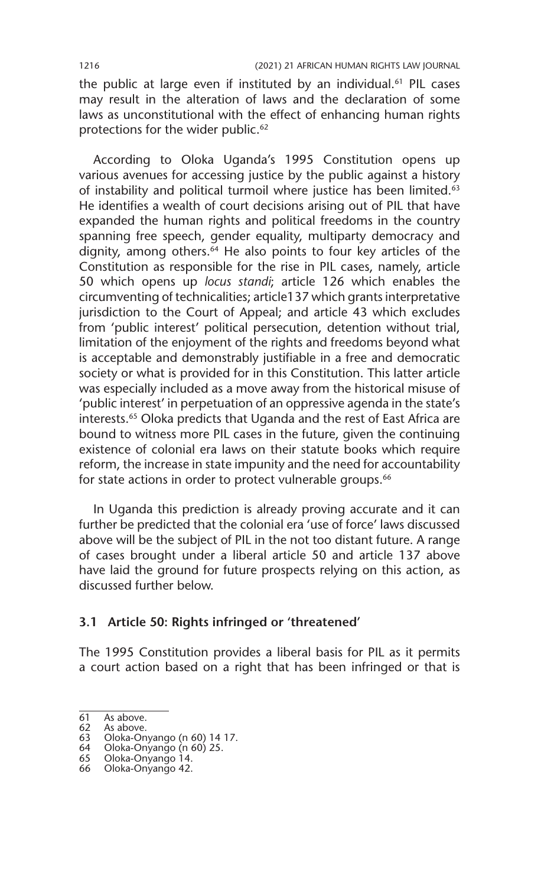the public at large even if instituted by an individual.<sup>61</sup> PIL cases may result in the alteration of laws and the declaration of some laws as unconstitutional with the effect of enhancing human rights protections for the wider public.<sup>62</sup>

According to Oloka Uganda's 1995 Constitution opens up various avenues for accessing justice by the public against a history of instability and political turmoil where justice has been limited.<sup>63</sup> He identifies a wealth of court decisions arising out of PIL that have expanded the human rights and political freedoms in the country spanning free speech, gender equality, multiparty democracy and dignity, among others.<sup>64</sup> He also points to four key articles of the Constitution as responsible for the rise in PIL cases, namely, article 50 which opens up *locus standi*; article 126 which enables the circumventing of technicalities; article137 which grants interpretative jurisdiction to the Court of Appeal; and article 43 which excludes from 'public interest' political persecution, detention without trial, limitation of the enjoyment of the rights and freedoms beyond what is acceptable and demonstrably justifiable in a free and democratic society or what is provided for in this Constitution. This latter article was especially included as a move away from the historical misuse of 'public interest' in perpetuation of an oppressive agenda in the state's interests.65 Oloka predicts that Uganda and the rest of East Africa are bound to witness more PIL cases in the future, given the continuing existence of colonial era laws on their statute books which require reform, the increase in state impunity and the need for accountability for state actions in order to protect vulnerable groups.<sup>66</sup>

In Uganda this prediction is already proving accurate and it can further be predicted that the colonial era 'use of force' laws discussed above will be the subject of PIL in the not too distant future. A range of cases brought under a liberal article 50 and article 137 above have laid the ground for future prospects relying on this action, as discussed further below.

#### **3.1 Article 50: Rights infringed or 'threatened'**

The 1995 Constitution provides a liberal basis for PIL as it permits a court action based on a right that has been infringed or that is

<sup>61</sup> As above.<br>62 As above.

As above.

<sup>63</sup> Oloka-Onyango (n 60) 14 17.

<sup>64</sup> Oloka-Onyango (n 60) 25.

<sup>65</sup> Oloka-Onyango 14. 66 Oloka-Onyango 42.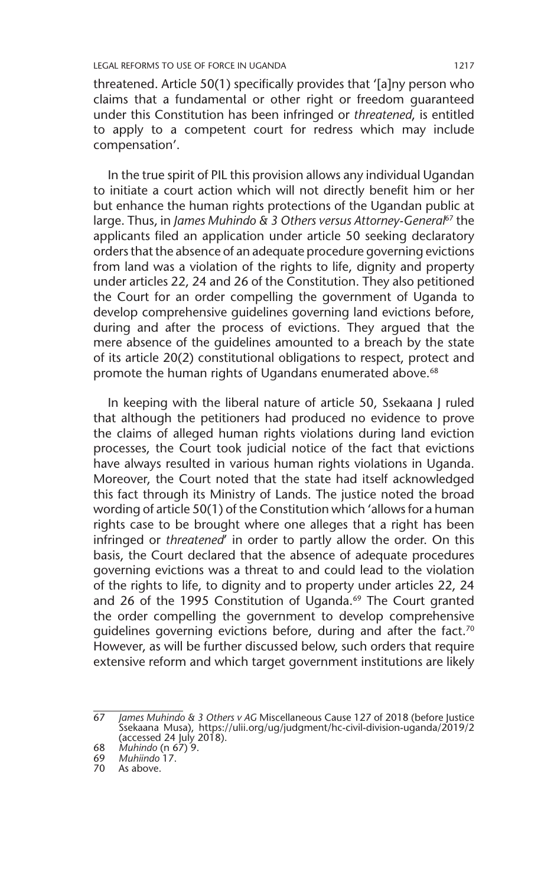threatened. Article 50(1) specifically provides that '[a]ny person who claims that a fundamental or other right or freedom guaranteed under this Constitution has been infringed or *threatened*, is entitled to apply to a competent court for redress which may include compensation'.

In the true spirit of PIL this provision allows any individual Ugandan to initiate a court action which will not directly benefit him or her but enhance the human rights protections of the Ugandan public at large. Thus, in *James Muhindo & 3 Others versus Attorney-General*67 the applicants filed an application under article 50 seeking declaratory orders that the absence of an adequate procedure governing evictions from land was a violation of the rights to life, dignity and property under articles 22, 24 and 26 of the Constitution. They also petitioned the Court for an order compelling the government of Uganda to develop comprehensive guidelines governing land evictions before, during and after the process of evictions. They argued that the mere absence of the guidelines amounted to a breach by the state of its article 20(2) constitutional obligations to respect, protect and promote the human rights of Ugandans enumerated above.<sup>68</sup>

In keeping with the liberal nature of article 50, Ssekaana J ruled that although the petitioners had produced no evidence to prove the claims of alleged human rights violations during land eviction processes, the Court took judicial notice of the fact that evictions have always resulted in various human rights violations in Uganda. Moreover, the Court noted that the state had itself acknowledged this fact through its Ministry of Lands. The justice noted the broad wording of article 50(1) of the Constitution which 'allows for a human rights case to be brought where one alleges that a right has been infringed or *threatened*' in order to partly allow the order. On this basis, the Court declared that the absence of adequate procedures governing evictions was a threat to and could lead to the violation of the rights to life, to dignity and to property under articles 22, 24 and 26 of the 1995 Constitution of Uganda.<sup>69</sup> The Court granted the order compelling the government to develop comprehensive guidelines governing evictions before, during and after the fact.<sup>70</sup> However, as will be further discussed below, such orders that require extensive reform and which target government institutions are likely

<sup>67</sup> *James Muhindo & 3 Others v AG* Miscellaneous Cause 127 of 2018 (before Justice Ssekaana Musa), https://ulii.org/ug/judgment/hc-civil-division-uganda/2019/2 (accessed 24 July 2018).

<sup>68</sup> *Muhindo* (n 67) 9.

<sup>69</sup> *Muhiindo* 17.

<sup>70</sup> As above.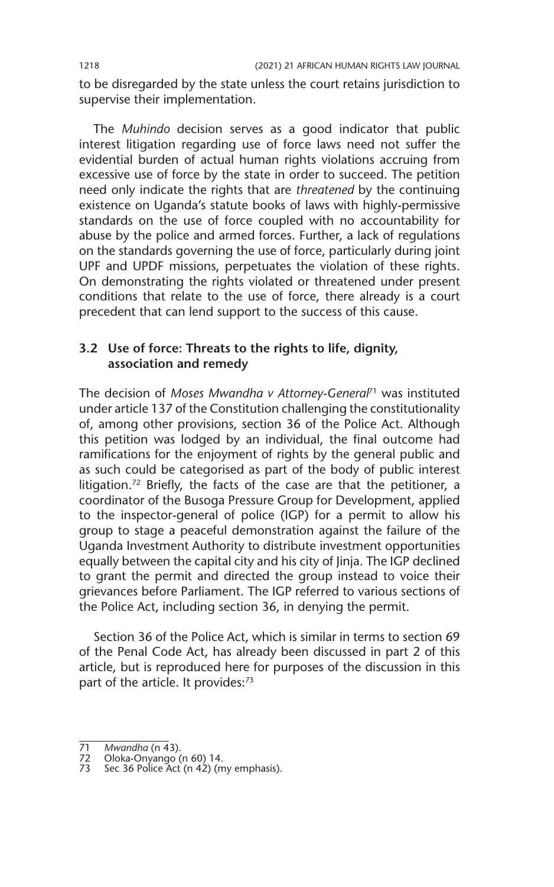to be disregarded by the state unless the court retains jurisdiction to supervise their implementation.

The *Muhindo* decision serves as a good indicator that public interest litigation regarding use of force laws need not suffer the evidential burden of actual human rights violations accruing from excessive use of force by the state in order to succeed. The petition need only indicate the rights that are *threatened* by the continuing existence on Uganda's statute books of laws with highly-permissive standards on the use of force coupled with no accountability for abuse by the police and armed forces. Further, a lack of regulations on the standards governing the use of force, particularly during joint UPF and UPDF missions, perpetuates the violation of these rights. On demonstrating the rights violated or threatened under present conditions that relate to the use of force, there already is a court precedent that can lend support to the success of this cause.

### **3.2 Use of force: Threats to the rights to life, dignity, association and remedy**

The decision of *Moses Mwandha v Attorney-General*71 was instituted under article 137 of the Constitution challenging the constitutionality of, among other provisions, section 36 of the Police Act. Although this petition was lodged by an individual, the final outcome had ramifications for the enjoyment of rights by the general public and as such could be categorised as part of the body of public interest litigation.<sup>72</sup> Briefly, the facts of the case are that the petitioner, a coordinator of the Busoga Pressure Group for Development, applied to the inspector-general of police (IGP) for a permit to allow his group to stage a peaceful demonstration against the failure of the Uganda Investment Authority to distribute investment opportunities equally between the capital city and his city of Jinja. The IGP declined to grant the permit and directed the group instead to voice their grievances before Parliament. The IGP referred to various sections of the Police Act, including section 36, in denying the permit.

Section 36 of the Police Act, which is similar in terms to section 69 of the Penal Code Act, has already been discussed in part 2 of this article, but is reproduced here for purposes of the discussion in this part of the article. It provides:<sup>73</sup>

<sup>71</sup> *Mwandha* (n 43).

<sup>72</sup> Oloka-Onyango (n 60) 14.

<sup>73</sup> Sec 36 Police Act (n 42) (my emphasis).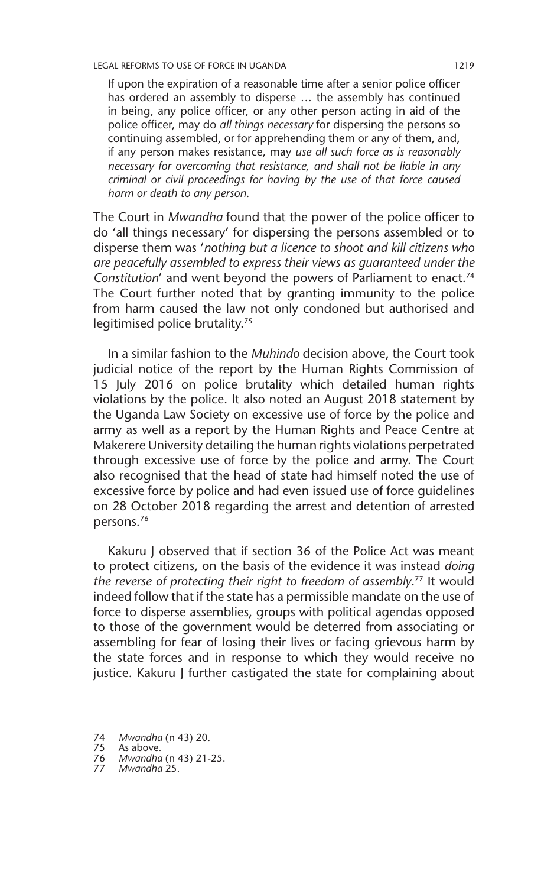LEGAL REFORMS TO USE OF FORCE IN UGANDA 1219

If upon the expiration of a reasonable time after a senior police officer has ordered an assembly to disperse … the assembly has continued in being, any police officer, or any other person acting in aid of the police officer, may do *all things necessary* for dispersing the persons so continuing assembled, or for apprehending them or any of them, and, if any person makes resistance, may *use all such force as is reasonably necessary for overcoming that resistance, and shall not be liable in any criminal or civil proceedings for having by the use of that force caused harm or death to any person*.

The Court in *Mwandha* found that the power of the police officer to do 'all things necessary' for dispersing the persons assembled or to disperse them was '*nothing but a licence to shoot and kill citizens who are peacefully assembled to express their views as guaranteed under the Constitution*' and went beyond the powers of Parliament to enact.74 The Court further noted that by granting immunity to the police from harm caused the law not only condoned but authorised and legitimised police brutality.<sup>75</sup>

In a similar fashion to the *Muhindo* decision above, the Court took judicial notice of the report by the Human Rights Commission of 15 July 2016 on police brutality which detailed human rights violations by the police. It also noted an August 2018 statement by the Uganda Law Society on excessive use of force by the police and army as well as a report by the Human Rights and Peace Centre at Makerere University detailing the human rights violations perpetrated through excessive use of force by the police and army. The Court also recognised that the head of state had himself noted the use of excessive force by police and had even issued use of force guidelines on 28 October 2018 regarding the arrest and detention of arrested persons.76

Kakuru J observed that if section 36 of the Police Act was meant to protect citizens, on the basis of the evidence it was instead *doing the reverse of protecting their right to freedom of assembly*. 77 It would indeed follow that if the state has a permissible mandate on the use of force to disperse assemblies, groups with political agendas opposed to those of the government would be deterred from associating or assembling for fear of losing their lives or facing grievous harm by the state forces and in response to which they would receive no justice. Kakuru J further castigated the state for complaining about

<sup>74</sup> *Mwandha* (n 43) 20.

<sup>75</sup> As above.<br>76 Mwandha

<sup>76</sup> *Mwandha* (n 43) 21-25.

<sup>77</sup> *Mwandha* 25.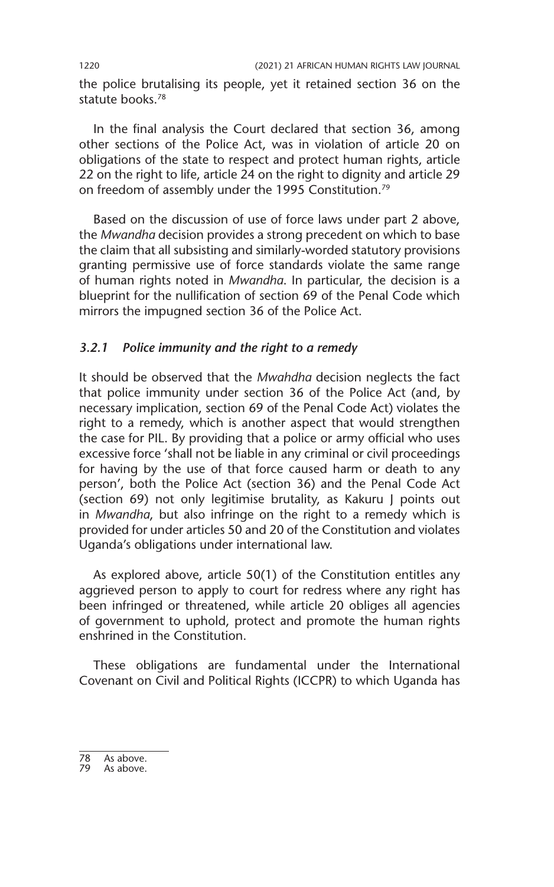the police brutalising its people, yet it retained section 36 on the statute books.78

In the final analysis the Court declared that section 36, among other sections of the Police Act, was in violation of article 20 on obligations of the state to respect and protect human rights, article 22 on the right to life, article 24 on the right to dignity and article 29 on freedom of assembly under the 1995 Constitution.<sup>79</sup>

Based on the discussion of use of force laws under part 2 above, the *Mwandha* decision provides a strong precedent on which to base the claim that all subsisting and similarly-worded statutory provisions granting permissive use of force standards violate the same range of human rights noted in *Mwandha*. In particular, the decision is a blueprint for the nullification of section 69 of the Penal Code which mirrors the impugned section 36 of the Police Act.

#### *3.2.1 Police immunity and the right to a remedy*

It should be observed that the *Mwahdha* decision neglects the fact that police immunity under section 36 of the Police Act (and, by necessary implication, section 69 of the Penal Code Act) violates the right to a remedy, which is another aspect that would strengthen the case for PIL. By providing that a police or army official who uses excessive force 'shall not be liable in any criminal or civil proceedings for having by the use of that force caused harm or death to any person', both the Police Act (section 36) and the Penal Code Act (section 69) not only legitimise brutality, as Kakuru J points out in *Mwandha*, but also infringe on the right to a remedy which is provided for under articles 50 and 20 of the Constitution and violates Uganda's obligations under international law.

As explored above, article 50(1) of the Constitution entitles any aggrieved person to apply to court for redress where any right has been infringed or threatened, while article 20 obliges all agencies of government to uphold, protect and promote the human rights enshrined in the Constitution.

These obligations are fundamental under the International Covenant on Civil and Political Rights (ICCPR) to which Uganda has

<sup>78</sup> As above.<br>79 As above.

As above.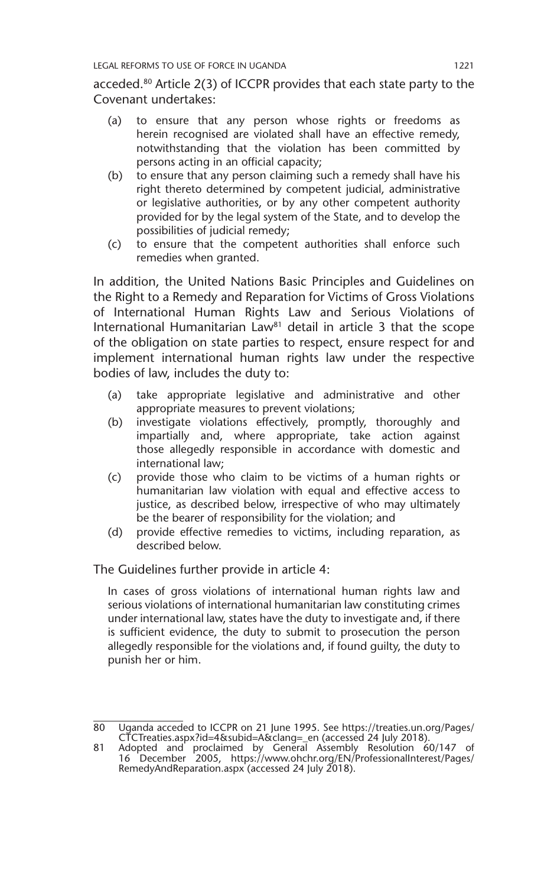acceded.80 Article 2(3) of ICCPR provides that each state party to the Covenant undertakes:

- (a) to ensure that any person whose rights or freedoms as herein recognised are violated shall have an effective remedy, notwithstanding that the violation has been committed by persons acting in an official capacity;
- (b) to ensure that any person claiming such a remedy shall have his right thereto determined by competent judicial, administrative or legislative authorities, or by any other competent authority provided for by the legal system of the State, and to develop the possibilities of judicial remedy;
- (c) to ensure that the competent authorities shall enforce such remedies when granted.

In addition, the United Nations Basic Principles and Guidelines on the Right to a Remedy and Reparation for Victims of Gross Violations of International Human Rights Law and Serious Violations of International Humanitarian Law $81$  detail in article 3 that the scope of the obligation on state parties to respect, ensure respect for and implement international human rights law under the respective bodies of law, includes the duty to:

- (a) take appropriate legislative and administrative and other appropriate measures to prevent violations;
- (b) investigate violations effectively, promptly, thoroughly and impartially and, where appropriate, take action against those allegedly responsible in accordance with domestic and international law;
- (c) provide those who claim to be victims of a human rights or humanitarian law violation with equal and effective access to justice, as described below, irrespective of who may ultimately be the bearer of responsibility for the violation; and
- (d) provide effective remedies to victims, including reparation, as described below.

The Guidelines further provide in article 4:

In cases of gross violations of international human rights law and serious violations of international humanitarian law constituting crimes under international law, states have the duty to investigate and, if there is sufficient evidence, the duty to submit to prosecution the person allegedly responsible for the violations and, if found guilty, the duty to punish her or him.

<sup>80</sup> Uganda acceded to ICCPR on 21 June 1995. See https://treaties.un.org/Pages/ CTCTreaties.aspx?id=4&subid=A&clang=\_en (accessed 24 July 2018).

<sup>81</sup> Adopted and proclaimed by General Assembly Resolution 60/147 of 16 December 2005, https://www.ohchr.org/EN/ProfessionalInterest/Pages/ RemedyAndReparation.aspx (accessed 24 July 2018).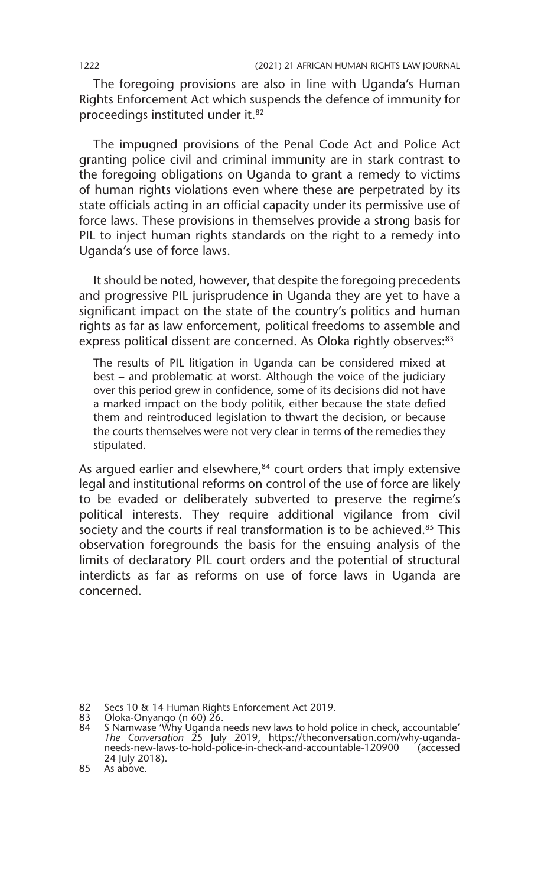The foregoing provisions are also in line with Uganda's Human Rights Enforcement Act which suspends the defence of immunity for proceedings instituted under it.<sup>82</sup>

The impugned provisions of the Penal Code Act and Police Act granting police civil and criminal immunity are in stark contrast to the foregoing obligations on Uganda to grant a remedy to victims of human rights violations even where these are perpetrated by its state officials acting in an official capacity under its permissive use of force laws. These provisions in themselves provide a strong basis for PIL to inject human rights standards on the right to a remedy into Uganda's use of force laws.

It should be noted, however, that despite the foregoing precedents and progressive PIL jurisprudence in Uganda they are yet to have a significant impact on the state of the country's politics and human rights as far as law enforcement, political freedoms to assemble and express political dissent are concerned. As Oloka rightly observes:<sup>83</sup>

The results of PIL litigation in Uganda can be considered mixed at best – and problematic at worst. Although the voice of the judiciary over this period grew in confidence, some of its decisions did not have a marked impact on the body politik, either because the state defied them and reintroduced legislation to thwart the decision, or because the courts themselves were not very clear in terms of the remedies they stipulated.

As arqued earlier and elsewhere, $84$  court orders that imply extensive legal and institutional reforms on control of the use of force are likely to be evaded or deliberately subverted to preserve the regime's political interests. They require additional vigilance from civil society and the courts if real transformation is to be achieved.<sup>85</sup> This observation foregrounds the basis for the ensuing analysis of the limits of declaratory PIL court orders and the potential of structural interdicts as far as reforms on use of force laws in Uganda are concerned.

<sup>82</sup> Secs 10 & 14 Human Rights Enforcement Act 2019.<br>83 Oloka-Onyango (n 60) 26.

<sup>83</sup> Oloka-Onyango (n 60) 26. 84 S Namwase 'Why Uganda needs new laws to hold police in check, accountable' *The Conversation* 25 July 2019, https://theconversation.com/why-ugandaneeds-new-laws-to-hold-police-in-check-and-accountable-120900 (accessed 24 July 2018).

<sup>85</sup> As above.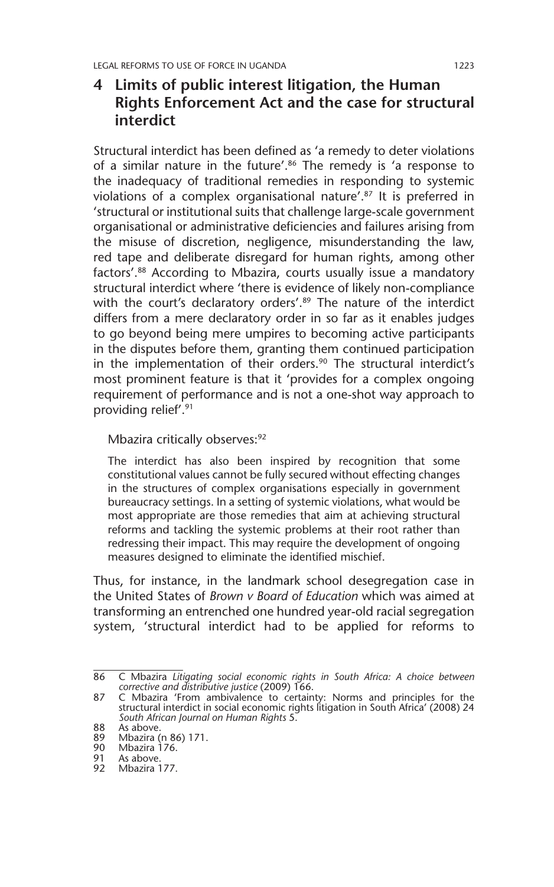### **4 Limits of public interest litigation, the Human Rights Enforcement Act and the case for structural interdict**

Structural interdict has been defined as 'a remedy to deter violations of a similar nature in the future'.<sup>86</sup> The remedy is 'a response to the inadequacy of traditional remedies in responding to systemic violations of a complex organisational nature'.87 It is preferred in 'structural or institutional suits that challenge large-scale government organisational or administrative deficiencies and failures arising from the misuse of discretion, negligence, misunderstanding the law, red tape and deliberate disregard for human rights, among other factors'.88 According to Mbazira, courts usually issue a mandatory structural interdict where 'there is evidence of likely non-compliance with the court's declaratory orders'.<sup>89</sup> The nature of the interdict differs from a mere declaratory order in so far as it enables judges to go beyond being mere umpires to becoming active participants in the disputes before them, granting them continued participation in the implementation of their orders.<sup>90</sup> The structural interdict's most prominent feature is that it 'provides for a complex ongoing requirement of performance and is not a one-shot way approach to providing relief'.91

### Mbazira critically observes:<sup>92</sup>

The interdict has also been inspired by recognition that some constitutional values cannot be fully secured without effecting changes in the structures of complex organisations especially in government bureaucracy settings. In a setting of systemic violations, what would be most appropriate are those remedies that aim at achieving structural reforms and tackling the systemic problems at their root rather than redressing their impact. This may require the development of ongoing measures designed to eliminate the identified mischief.

Thus, for instance, in the landmark school desegregation case in the United States of *Brown v Board of Education* which was aimed at transforming an entrenched one hundred year-old racial segregation system, 'structural interdict had to be applied for reforms to

<sup>86</sup> C Mbazira *Litigating social economic rights in South Africa: A choice between corrective and distributive justice* (2009) 166.

<sup>87</sup> C Mbazira 'From ambivalence to certainty: Norms and principles for the structural interdict in social economic rights litigation in South Africa' (2008) 24 *South African Journal on Human Rights* 5.

<sup>88</sup> As above.<br>89 Mhazira (1

Mbazira (n 86) 171.

<sup>90</sup> Mbazira 176.<br>91 As above As above

<sup>92</sup> Mbazira 177.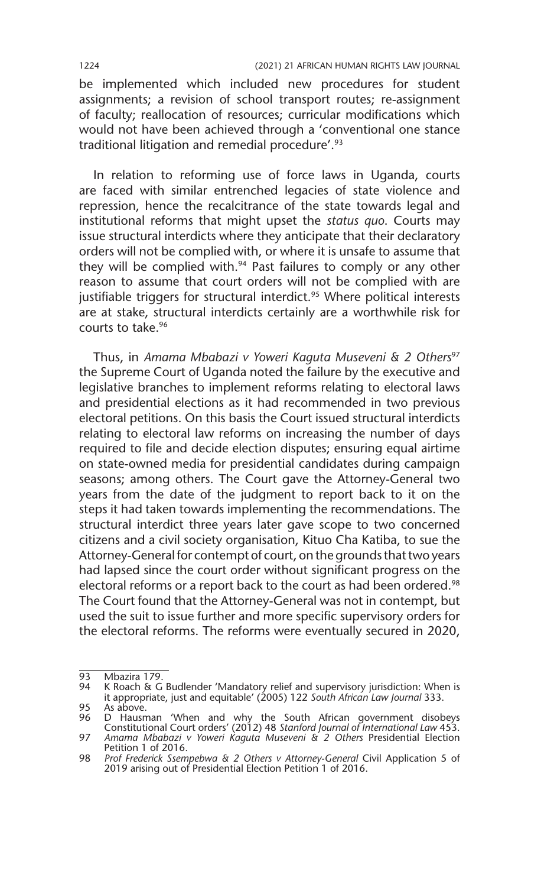be implemented which included new procedures for student assignments; a revision of school transport routes; re-assignment of faculty; reallocation of resources; curricular modifications which would not have been achieved through a 'conventional one stance traditional litigation and remedial procedure'.93

In relation to reforming use of force laws in Uganda, courts are faced with similar entrenched legacies of state violence and repression, hence the recalcitrance of the state towards legal and institutional reforms that might upset the *status quo*. Courts may issue structural interdicts where they anticipate that their declaratory orders will not be complied with, or where it is unsafe to assume that they will be complied with.<sup>94</sup> Past failures to comply or any other reason to assume that court orders will not be complied with are justifiable triggers for structural interdict.<sup>95</sup> Where political interests are at stake, structural interdicts certainly are a worthwhile risk for courts to take.96

Thus, in *Amama Mbabazi v Yoweri Kaguta Museveni & 2 Others*<sup>97</sup> the Supreme Court of Uganda noted the failure by the executive and legislative branches to implement reforms relating to electoral laws and presidential elections as it had recommended in two previous electoral petitions. On this basis the Court issued structural interdicts relating to electoral law reforms on increasing the number of days required to file and decide election disputes; ensuring equal airtime on state-owned media for presidential candidates during campaign seasons; among others. The Court gave the Attorney-General two years from the date of the judgment to report back to it on the steps it had taken towards implementing the recommendations. The structural interdict three years later gave scope to two concerned citizens and a civil society organisation, Kituo Cha Katiba, to sue the Attorney-General for contempt of court, on the grounds that two years had lapsed since the court order without significant progress on the electoral reforms or a report back to the court as had been ordered.<sup>98</sup> The Court found that the Attorney-General was not in contempt, but used the suit to issue further and more specific supervisory orders for the electoral reforms. The reforms were eventually secured in 2020,

<sup>93</sup> Mbazira 179.<br>94 K Roach & G

<sup>94</sup> K Roach & G Budlender 'Mandatory relief and supervisory jurisdiction: When is it appropriate, just and equitable' (2005) 122 *South African Law Journal* 333. 95 As above.

<sup>96</sup> D Hausman 'When and why the South African government disobeys<br>Constitutional Court orders' (2012) 48 Stanford Journal of International Law 453.<br>97 Amama Mbabazi v Yoweri Kaguta Museveni & 2 Others Presidential Election

Petition 1 of 2016.

<sup>98</sup> *Prof Frederick Ssempebwa & 2 Others v Attorney-General* Civil Application 5 of 2019 arising out of Presidential Election Petition 1 of 2016.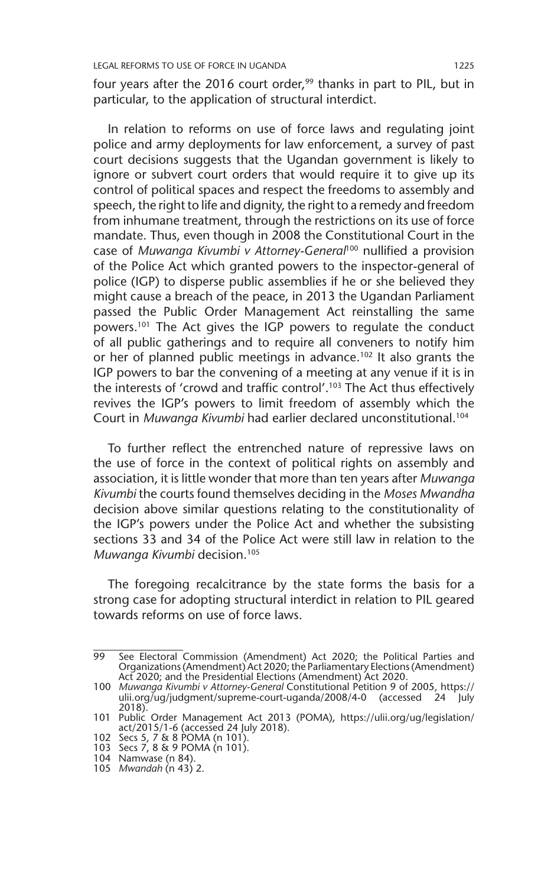four years after the 2016 court order,<sup>99</sup> thanks in part to PIL, but in particular, to the application of structural interdict.

In relation to reforms on use of force laws and regulating joint police and army deployments for law enforcement, a survey of past court decisions suggests that the Ugandan government is likely to ignore or subvert court orders that would require it to give up its control of political spaces and respect the freedoms to assembly and speech, the right to life and dignity, the right to a remedy and freedom from inhumane treatment, through the restrictions on its use of force mandate. Thus, even though in 2008 the Constitutional Court in the case of *Muwanga Kivumbi v Attorney-General*100 nullified a provision of the Police Act which granted powers to the inspector-general of police (IGP) to disperse public assemblies if he or she believed they might cause a breach of the peace, in 2013 the Ugandan Parliament passed the Public Order Management Act reinstalling the same powers.101 The Act gives the IGP powers to regulate the conduct of all public gatherings and to require all conveners to notify him or her of planned public meetings in advance.102 It also grants the IGP powers to bar the convening of a meeting at any venue if it is in the interests of 'crowd and traffic control'.103 The Act thus effectively revives the IGP's powers to limit freedom of assembly which the Court in *Muwanga Kivumbi* had earlier declared unconstitutional.104

To further reflect the entrenched nature of repressive laws on the use of force in the context of political rights on assembly and association, it is little wonder that more than ten years after *Muwanga Kivumbi* the courts found themselves deciding in the *Moses Mwandha* decision above similar questions relating to the constitutionality of the IGP's powers under the Police Act and whether the subsisting sections 33 and 34 of the Police Act were still law in relation to the *Muwanga Kivumbi* decision.105

The foregoing recalcitrance by the state forms the basis for a strong case for adopting structural interdict in relation to PIL geared towards reforms on use of force laws.

<sup>99</sup> See Electoral Commission (Amendment) Act 2020; the Political Parties and Organizations (Amendment) Act 2020; the Parliamentary Elections (Amendment) Act 2020; and the Presidential Elections (Amendment) Act 2020.

<sup>100</sup> *Muwanga Kivumbi v Attorney-General* Constitutional Petition 9 of 2005, https:// ulii.org/ug/judgment/supreme-court-uganda/2008/4-0 (accessed 24 July 2018).

<sup>101</sup> Public Order Management Act 2013 (POMA), https://ulii.org/ug/legislation/ act/2015/1-6 (accessed 24 July 2018). 102 Secs 5, 7 & 8 POMA (n 101).

<sup>103</sup> Secs 7, 8 & 9 POMA (n 101). 104 Namwase (n 84).

<sup>105</sup> *Mwandah* (n 43) 2.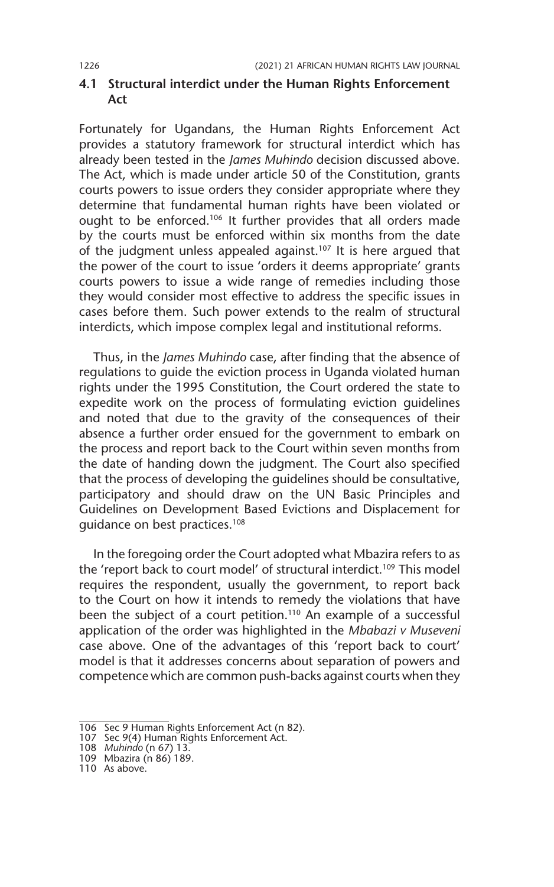### **4.1 Structural interdict under the Human Rights Enforcement Act**

Fortunately for Ugandans, the Human Rights Enforcement Act provides a statutory framework for structural interdict which has already been tested in the *James Muhindo* decision discussed above. The Act, which is made under article 50 of the Constitution, grants courts powers to issue orders they consider appropriate where they determine that fundamental human rights have been violated or ought to be enforced.106 It further provides that all orders made by the courts must be enforced within six months from the date of the judgment unless appealed against.<sup>107</sup> It is here argued that the power of the court to issue 'orders it deems appropriate' grants courts powers to issue a wide range of remedies including those they would consider most effective to address the specific issues in cases before them. Such power extends to the realm of structural interdicts, which impose complex legal and institutional reforms.

Thus, in the *James Muhindo* case, after finding that the absence of regulations to guide the eviction process in Uganda violated human rights under the 1995 Constitution, the Court ordered the state to expedite work on the process of formulating eviction guidelines and noted that due to the gravity of the consequences of their absence a further order ensued for the government to embark on the process and report back to the Court within seven months from the date of handing down the judgment. The Court also specified that the process of developing the guidelines should be consultative, participatory and should draw on the UN Basic Principles and Guidelines on Development Based Evictions and Displacement for guidance on best practices.108

In the foregoing order the Court adopted what Mbazira refers to as the 'report back to court model' of structural interdict.<sup>109</sup> This model requires the respondent, usually the government, to report back to the Court on how it intends to remedy the violations that have been the subject of a court petition.<sup>110</sup> An example of a successful application of the order was highlighted in the *Mbabazi v Museveni* case above. One of the advantages of this 'report back to court' model is that it addresses concerns about separation of powers and competence which are common push-backs against courts when they

<sup>106</sup> Sec 9 Human Rights Enforcement Act (n 82).

<sup>107</sup> Sec 9(4) Human Rights Enforcement Act.

<sup>108</sup> *Muhindo* (n 67) 13.

<sup>109</sup> Mbazira (n 86) 189.

<sup>110</sup> As above.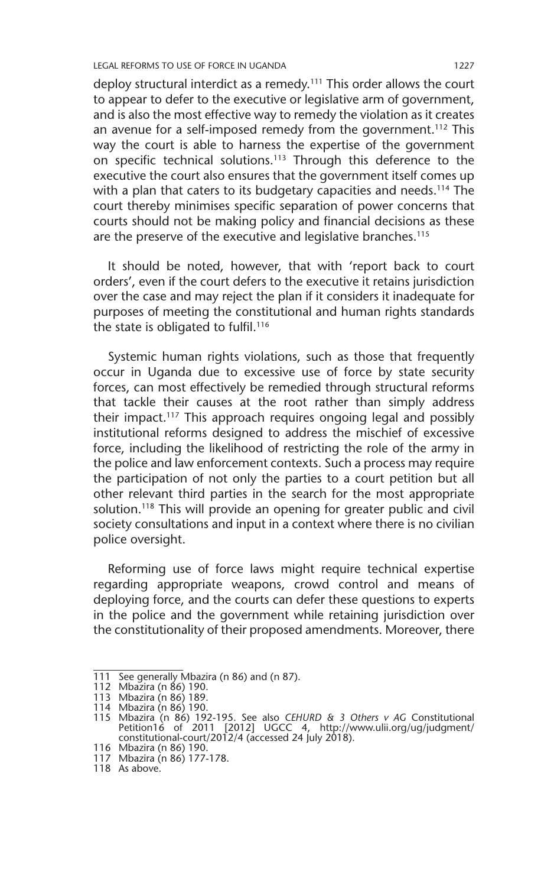deploy structural interdict as a remedy.111 This order allows the court to appear to defer to the executive or legislative arm of government, and is also the most effective way to remedy the violation as it creates an avenue for a self-imposed remedy from the government.<sup>112</sup> This way the court is able to harness the expertise of the government on specific technical solutions.113 Through this deference to the executive the court also ensures that the government itself comes up with a plan that caters to its budgetary capacities and needs.<sup>114</sup> The court thereby minimises specific separation of power concerns that courts should not be making policy and financial decisions as these are the preserve of the executive and legislative branches.<sup>115</sup>

It should be noted, however, that with 'report back to court orders', even if the court defers to the executive it retains jurisdiction over the case and may reject the plan if it considers it inadequate for purposes of meeting the constitutional and human rights standards the state is obligated to fulfil.<sup>116</sup>

Systemic human rights violations, such as those that frequently occur in Uganda due to excessive use of force by state security forces, can most effectively be remedied through structural reforms that tackle their causes at the root rather than simply address their impact.117 This approach requires ongoing legal and possibly institutional reforms designed to address the mischief of excessive force, including the likelihood of restricting the role of the army in the police and law enforcement contexts. Such a process may require the participation of not only the parties to a court petition but all other relevant third parties in the search for the most appropriate solution.<sup>118</sup> This will provide an opening for greater public and civil society consultations and input in a context where there is no civilian police oversight.

Reforming use of force laws might require technical expertise regarding appropriate weapons, crowd control and means of deploying force, and the courts can defer these questions to experts in the police and the government while retaining jurisdiction over the constitutionality of their proposed amendments. Moreover, there

<sup>111</sup> See generally Mbazira (n 86) and (n 87).

<sup>112</sup> Mbazira (n 86) 190.

<sup>113</sup> Mbazira (n 86) 189. 114 Mbazira (n 86) 190.

<sup>115</sup> Mbazira (n 86) 192-195. See also *CEHURD & 3 Others v AG* Constitutional Petition16 of 2011 [2012] UGCC 4, http://www.ulii.org/ug/judgment/ constitutional-court/2012/4 (accessed 24 July 2018).

<sup>116</sup> Mbazira (n 86) 190.

<sup>117</sup> Mbazira (n 86) 177-178.

<sup>118</sup> As above.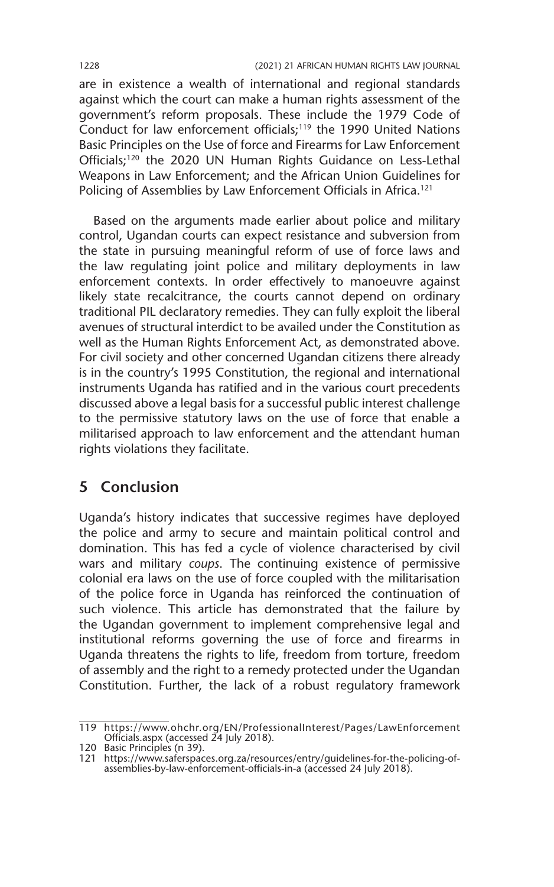are in existence a wealth of international and regional standards against which the court can make a human rights assessment of the government's reform proposals. These include the 1979 Code of Conduct for law enforcement officials;<sup>119</sup> the 1990 United Nations Basic Principles on the Use of force and Firearms for Law Enforcement Officials;120 the 2020 UN Human Rights Guidance on Less-Lethal Weapons in Law Enforcement; and the African Union Guidelines for Policing of Assemblies by Law Enforcement Officials in Africa.<sup>121</sup>

Based on the arguments made earlier about police and military control, Ugandan courts can expect resistance and subversion from the state in pursuing meaningful reform of use of force laws and the law regulating joint police and military deployments in law enforcement contexts. In order effectively to manoeuvre against likely state recalcitrance, the courts cannot depend on ordinary traditional PIL declaratory remedies. They can fully exploit the liberal avenues of structural interdict to be availed under the Constitution as well as the Human Rights Enforcement Act, as demonstrated above. For civil society and other concerned Ugandan citizens there already is in the country's 1995 Constitution, the regional and international instruments Uganda has ratified and in the various court precedents discussed above a legal basis for a successful public interest challenge to the permissive statutory laws on the use of force that enable a militarised approach to law enforcement and the attendant human rights violations they facilitate.

### **5 Conclusion**

Uganda's history indicates that successive regimes have deployed the police and army to secure and maintain political control and domination. This has fed a cycle of violence characterised by civil wars and military *coups*. The continuing existence of permissive colonial era laws on the use of force coupled with the militarisation of the police force in Uganda has reinforced the continuation of such violence. This article has demonstrated that the failure by the Ugandan government to implement comprehensive legal and institutional reforms governing the use of force and firearms in Uganda threatens the rights to life, freedom from torture, freedom of assembly and the right to a remedy protected under the Ugandan Constitution. Further, the lack of a robust regulatory framework

<sup>119</sup> https://www.ohchr.org/EN/ProfessionalInterest/Pages/LawEnforcement Officials.aspx (accessed 24 July 2018).

<sup>120</sup> Basic Principles (n 39).

<sup>121</sup> https://www.saferspaces.org.za/resources/entry/guidelines-for-the-policing-ofassemblies-by-law-enforcement-officials-in-a (accessed 24 July 2018).